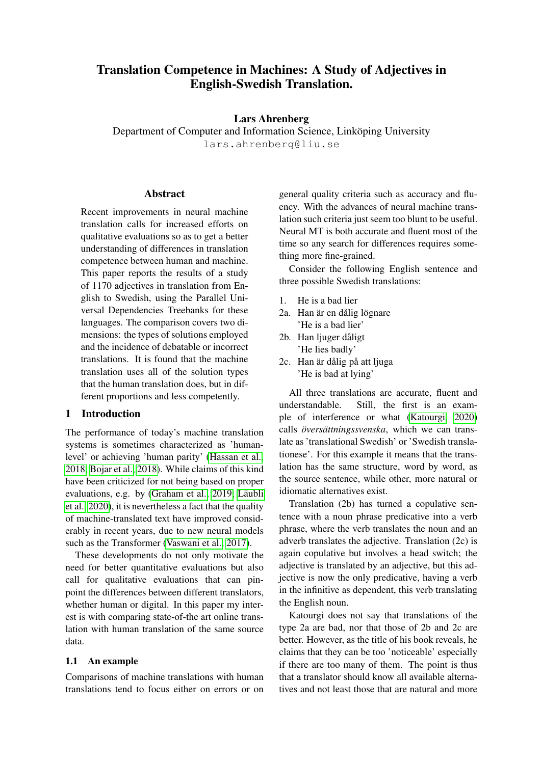# Translation Competence in Machines: A Study of Adjectives in English-Swedish Translation.

### Lars Ahrenberg

Department of Computer and Information Science, Linkoping University lars.ahrenberg@liu.se

### Abstract

Recent improvements in neural machine translation calls for increased efforts on qualitative evaluations so as to get a better understanding of differences in translation competence between human and machine. This paper reports the results of a study of 1170 adjectives in translation from English to Swedish, using the Parallel Universal Dependencies Treebanks for these languages. The comparison covers two dimensions: the types of solutions employed and the incidence of debatable or incorrect translations. It is found that the machine translation uses all of the solution types that the human translation does, but in different proportions and less competently.

# 1 Introduction

The performance of today's machine translation systems is sometimes characterized as 'humanlevel' or achieving 'human parity' [\(Hassan et al.,](#page-8-0) [2018;](#page-8-0) [Bojar et al., 2018\)](#page-7-0). While claims of this kind have been criticized for not being based on proper evaluations, e.g. by [\(Graham et al., 2019;](#page-8-1) Läubli [et al., 2020\)](#page-8-2), it is nevertheless a fact that the quality of machine-translated text have improved considerably in recent years, due to new neural models such as the Transformer [\(Vaswani et al., 2017\)](#page-8-3).

These developments do not only motivate the need for better quantitative evaluations but also call for qualitative evaluations that can pinpoint the differences between different translators, whether human or digital. In this paper my interest is with comparing state-of-the art online translation with human translation of the same source data.

### 1.1 An example

Comparisons of machine translations with human translations tend to focus either on errors or on general quality criteria such as accuracy and fluency. With the advances of neural machine translation such criteria just seem too blunt to be useful. Neural MT is both accurate and fluent most of the time so any search for differences requires something more fine-grained.

Consider the following English sentence and three possible Swedish translations:

- 1. He is a bad lier
- 2a. Han är en dålig lögnare 'He is a bad lier'
- 2b. Han liuger dåligt 'He lies badly'
- 2c. Han är dålig på att ljuga 'He is bad at lying'

All three translations are accurate, fluent and understandable. Still, the first is an example of interference or what [\(Katourgi, 2020\)](#page-8-4) calls *översättningssvenska*, which we can translate as 'translational Swedish' or 'Swedish translationese'. For this example it means that the translation has the same structure, word by word, as the source sentence, while other, more natural or idiomatic alternatives exist.

Translation (2b) has turned a copulative sentence with a noun phrase predicative into a verb phrase, where the verb translates the noun and an adverb translates the adjective. Translation (2c) is again copulative but involves a head switch; the adjective is translated by an adjective, but this adjective is now the only predicative, having a verb in the infinitive as dependent, this verb translating the English noun.

Katourgi does not say that translations of the type 2a are bad, nor that those of 2b and 2c are better. However, as the title of his book reveals, he claims that they can be too 'noticeable' especially if there are too many of them. The point is thus that a translator should know all available alternatives and not least those that are natural and more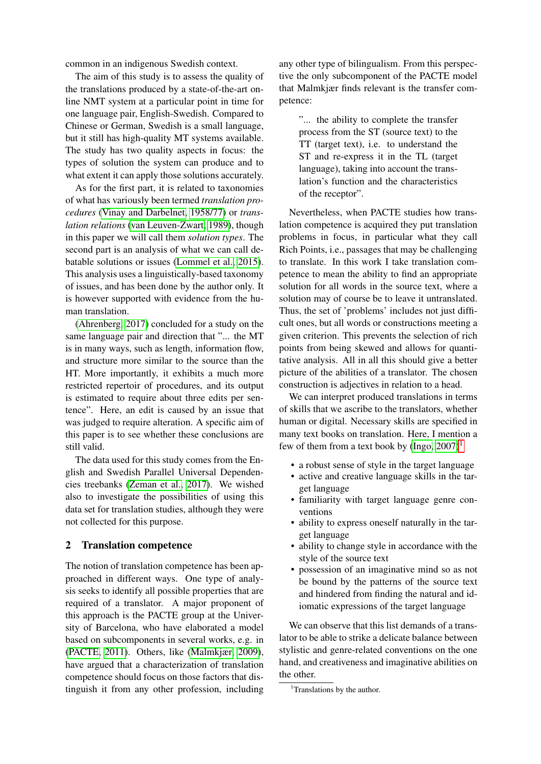common in an indigenous Swedish context.

The aim of this study is to assess the quality of the translations produced by a state-of-the-art online NMT system at a particular point in time for one language pair, English-Swedish. Compared to Chinese or German, Swedish is a small language, but it still has high-quality MT systems available. The study has two quality aspects in focus: the types of solution the system can produce and to what extent it can apply those solutions accurately.

As for the first part, it is related to taxonomies of what has variously been termed *translation procedures* [\(Vinay and Darbelnet, 1958/77\)](#page-8-5) or *translation relations* [\(van Leuven-Zwart, 1989\)](#page-8-6), though in this paper we will call them *solution types*. The second part is an analysis of what we can call debatable solutions or issues [\(Lommel et al., 2015\)](#page-8-7). This analysis uses a linguistically-based taxonomy of issues, and has been done by the author only. It is however supported with evidence from the human translation.

[\(Ahrenberg, 2017\)](#page-7-1) concluded for a study on the same language pair and direction that "... the MT is in many ways, such as length, information flow, and structure more similar to the source than the HT. More importantly, it exhibits a much more restricted repertoir of procedures, and its output is estimated to require about three edits per sentence". Here, an edit is caused by an issue that was judged to require alteration. A specific aim of this paper is to see whether these conclusions are still valid.

The data used for this study comes from the English and Swedish Parallel Universal Dependencies treebanks [\(Zeman et al., 2017\)](#page-8-8). We wished also to investigate the possibilities of using this data set for translation studies, although they were not collected for this purpose.

### 2 Translation competence

The notion of translation competence has been approached in different ways. One type of analysis seeks to identify all possible properties that are required of a translator. A major proponent of this approach is the PACTE group at the University of Barcelona, who have elaborated a model based on subcomponents in several works, e.g. in [\(PACTE, 2011\)](#page-8-9). Others, like [\(Malmkjær, 2009\)](#page-8-10), have argued that a characterization of translation competence should focus on those factors that distinguish it from any other profession, including

any other type of bilingualism. From this perspective the only subcomponent of the PACTE model that Malmkjær finds relevant is the transfer competence:

"... the ability to complete the transfer process from the ST (source text) to the TT (target text), i.e. to understand the ST and re-express it in the TL (target language), taking into account the translation's function and the characteristics of the receptor".

Nevertheless, when PACTE studies how translation competence is acquired they put translation problems in focus, in particular what they call Rich Points, i.e., passages that may be challenging to translate. In this work I take translation competence to mean the ability to find an appropriate solution for all words in the source text, where a solution may of course be to leave it untranslated. Thus, the set of 'problems' includes not just difficult ones, but all words or constructions meeting a given criterion. This prevents the selection of rich points from being skewed and allows for quantitative analysis. All in all this should give a better picture of the abilities of a translator. The chosen construction is adjectives in relation to a head.

We can interpret produced translations in terms of skills that we ascribe to the translators, whether human or digital. Necessary skills are specified in many text books on translation. Here, I mention a few of them from a text book by  $(Ingo, 2007)^1$  $(Ingo, 2007)^1$  $(Ingo, 2007)^1$ 

- a robust sense of style in the target language
- active and creative language skills in the target language
- familiarity with target language genre conventions
- ability to express oneself naturally in the target language
- ability to change style in accordance with the style of the source text
- possession of an imaginative mind so as not be bound by the patterns of the source text and hindered from finding the natural and idiomatic expressions of the target language

We can observe that this list demands of a translator to be able to strike a delicate balance between stylistic and genre-related conventions on the one hand, and creativeness and imaginative abilities on the other.

<span id="page-1-0"></span><sup>&</sup>lt;sup>1</sup>Translations by the author.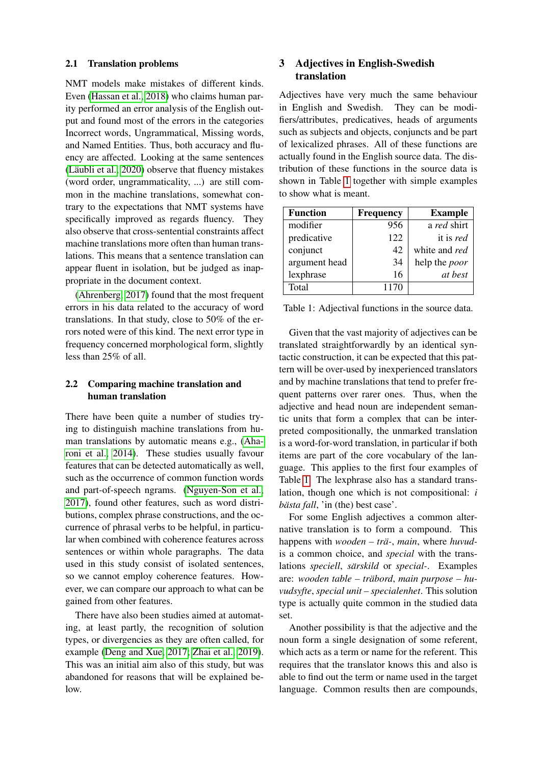#### 2.1 Translation problems

NMT models make mistakes of different kinds. Even [\(Hassan et al., 2018\)](#page-8-0) who claims human parity performed an error analysis of the English output and found most of the errors in the categories Incorrect words, Ungrammatical, Missing words, and Named Entities. Thus, both accuracy and fluency are affected. Looking at the same sentences  $(L$ äubli et al., 2020) observe that fluency mistakes (word order, ungrammaticality, ...) are still common in the machine translations, somewhat contrary to the expectations that NMT systems have specifically improved as regards fluency. They also observe that cross-sentential constraints affect machine translations more often than human translations. This means that a sentence translation can appear fluent in isolation, but be judged as inappropriate in the document context.

[\(Ahrenberg, 2017\)](#page-7-1) found that the most frequent errors in his data related to the accuracy of word translations. In that study, close to 50% of the errors noted were of this kind. The next error type in frequency concerned morphological form, slightly less than 25% of all.

# 2.2 Comparing machine translation and human translation

There have been quite a number of studies trying to distinguish machine translations from human translations by automatic means e.g., [\(Aha](#page-7-2)[roni et al., 2014\)](#page-7-2). These studies usually favour features that can be detected automatically as well, such as the occurrence of common function words and part-of-speech ngrams. [\(Nguyen-Son et al.,](#page-8-12) [2017\)](#page-8-12), found other features, such as word distributions, complex phrase constructions, and the occurrence of phrasal verbs to be helpful, in particular when combined with coherence features across sentences or within whole paragraphs. The data used in this study consist of isolated sentences, so we cannot employ coherence features. However, we can compare our approach to what can be gained from other features.

There have also been studies aimed at automating, at least partly, the recognition of solution types, or divergencies as they are often called, for example [\(Deng and Xue, 2017;](#page-8-13) [Zhai et al., 2019\)](#page-8-14). This was an initial aim also of this study, but was abandoned for reasons that will be explained below.

# 3 Adjectives in English-Swedish translation

Adjectives have very much the same behaviour in English and Swedish. They can be modifiers/attributes, predicatives, heads of arguments such as subjects and objects, conjuncts and be part of lexicalized phrases. All of these functions are actually found in the English source data. The distribution of these functions in the source data is shown in Table [1](#page-2-0) together with simple examples to show what is meant.

| <b>Function</b> | <b>Frequency</b> | <b>Example</b>       |
|-----------------|------------------|----------------------|
| modifier        | 956              | a red shirt          |
| predicative     | 122              | it is red            |
| conjunct        | 42               | white and red        |
| argument head   | 34               | help the <i>poor</i> |
| lexphrase       | 16               | at best              |
| Total           | 1170             |                      |

<span id="page-2-0"></span>

| Table 1: Adjectival functions in the source data. |  |  |
|---------------------------------------------------|--|--|
|                                                   |  |  |

Given that the vast majority of adjectives can be translated straightforwardly by an identical syntactic construction, it can be expected that this pattern will be over-used by inexperienced translators and by machine translations that tend to prefer frequent patterns over rarer ones. Thus, when the adjective and head noun are independent semantic units that form a complex that can be interpreted compositionally, the unmarked translation is a word-for-word translation, in particular if both items are part of the core vocabulary of the language. This applies to the first four examples of Table [1.](#page-2-0) The lexphrase also has a standard translation, though one which is not compositional: *i bästa fall*, 'in (the) best case'.

For some English adjectives a common alternative translation is to form a compound. This happens with *wooden* – trä-, main, where huvudis a common choice, and *special* with the translations *speciell*, *särskild* or *special*-. Examples are: *wooden table – träbord*, *main purpose – huvudsyfte*, *special unit – specialenhet*. This solution type is actually quite common in the studied data set.

Another possibility is that the adjective and the noun form a single designation of some referent, which acts as a term or name for the referent. This requires that the translator knows this and also is able to find out the term or name used in the target language. Common results then are compounds,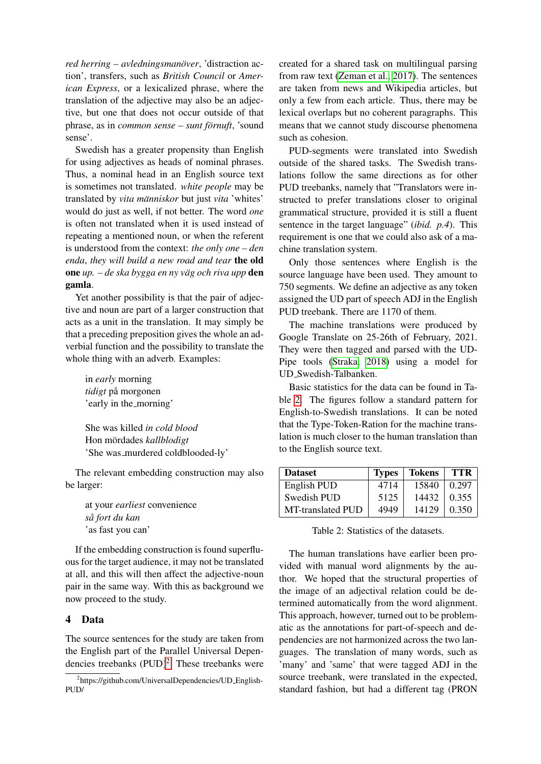*red herring – avledningsmanöver, 'distraction ac*tion', transfers, such as *British Council* or *American Express*, or a lexicalized phrase, where the translation of the adjective may also be an adjective, but one that does not occur outside of that phrase, as in *common sense – sunt förnuft*, 'sound sense'.

Swedish has a greater propensity than English for using adjectives as heads of nominal phrases. Thus, a nominal head in an English source text is sometimes not translated. *white people* may be translated by *vita människor* but just *vita* 'whites' would do just as well, if not better. The word *one* is often not translated when it is used instead of repeating a mentioned noun, or when the referent is understood from the context: *the only one – den enda*, *they will build a new road and tear* the old one *up. – de ska bygga en ny väg och riva upp* den gamla.

Yet another possibility is that the pair of adjective and noun are part of a larger construction that acts as a unit in the translation. It may simply be that a preceding preposition gives the whole an adverbial function and the possibility to translate the whole thing with an adverb. Examples:

in *early* morning  $tidigt$  på morgonen 'early in the\_morning'

She was killed *in cold blood* Hon mördades kallblodigt 'She was murdered coldblooded-ly'

The relevant embedding construction may also be larger:

at your *earliest* convenience *sa fort du kan ˚* 'as fast you can'

If the embedding construction is found superfluous for the target audience, it may not be translated at all, and this will then affect the adjective-noun pair in the same way. With this as background we now proceed to the study.

# 4 Data

The source sentences for the study are taken from the English part of the Parallel Universal Dependencies treebanks  $(PID)^2$  $(PID)^2$ . These treebanks were

created for a shared task on multilingual parsing from raw text [\(Zeman et al., 2017\)](#page-8-8). The sentences are taken from news and Wikipedia articles, but only a few from each article. Thus, there may be lexical overlaps but no coherent paragraphs. This means that we cannot study discourse phenomena such as cohesion.

PUD-segments were translated into Swedish outside of the shared tasks. The Swedish translations follow the same directions as for other PUD treebanks, namely that "Translators were instructed to prefer translations closer to original grammatical structure, provided it is still a fluent sentence in the target language" (*ibid. p.4*). This requirement is one that we could also ask of a machine translation system.

Only those sentences where English is the source language have been used. They amount to 750 segments. We define an adjective as any token assigned the UD part of speech ADJ in the English PUD treebank. There are 1170 of them.

The machine translations were produced by Google Translate on 25-26th of February, 2021. They were then tagged and parsed with the UD-Pipe tools [\(Straka, 2018\)](#page-8-15) using a model for UD Swedish-Talbanken.

Basic statistics for the data can be found in Table [2.](#page-3-1) The figures follow a standard pattern for English-to-Swedish translations. It can be noted that the Type-Token-Ration for the machine translation is much closer to the human translation than to the English source text.

| <b>Dataset</b>    | <b>Types</b> | Tokens | TTR   |
|-------------------|--------------|--------|-------|
| English PUD       | 4714         | 15840  | 0.297 |
| Swedish PUD       | 5125         | 14432  | 0.355 |
| MT-translated PUD | 4949         | 14129  | 0.350 |

<span id="page-3-1"></span>Table 2: Statistics of the datasets.

The human translations have earlier been provided with manual word alignments by the author. We hoped that the structural properties of the image of an adjectival relation could be determined automatically from the word alignment. This approach, however, turned out to be problematic as the annotations for part-of-speech and dependencies are not harmonized across the two languages. The translation of many words, such as 'many' and 'same' that were tagged ADJ in the source treebank, were translated in the expected, standard fashion, but had a different tag (PRON

<span id="page-3-0"></span><sup>&</sup>lt;sup>2</sup>https://github.com/UniversalDependencies/UD\_English-PUD/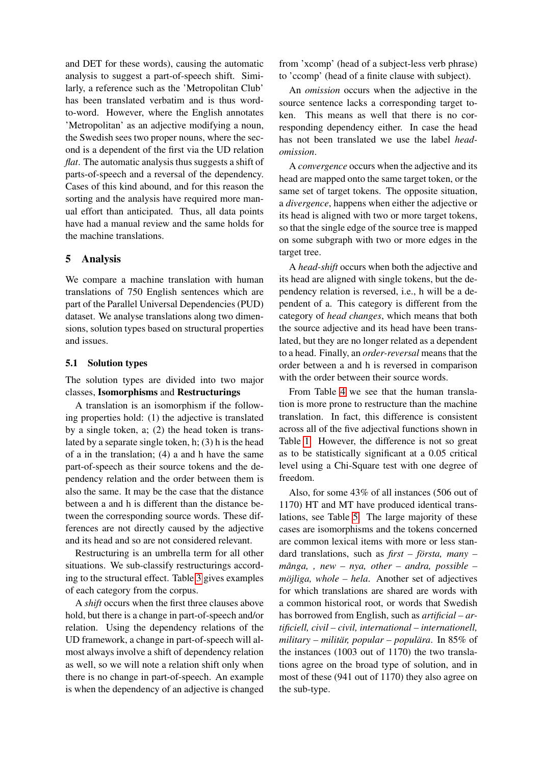and DET for these words), causing the automatic analysis to suggest a part-of-speech shift. Similarly, a reference such as the 'Metropolitan Club' has been translated verbatim and is thus wordto-word. However, where the English annotates 'Metropolitan' as an adjective modifying a noun, the Swedish sees two proper nouns, where the second is a dependent of the first via the UD relation *flat*. The automatic analysis thus suggests a shift of parts-of-speech and a reversal of the dependency. Cases of this kind abound, and for this reason the sorting and the analysis have required more manual effort than anticipated. Thus, all data points have had a manual review and the same holds for the machine translations.

# 5 Analysis

We compare a machine translation with human translations of 750 English sentences which are part of the Parallel Universal Dependencies (PUD) dataset. We analyse translations along two dimensions, solution types based on structural properties and issues.

### 5.1 Solution types

The solution types are divided into two major classes, Isomorphisms and Restructurings

A translation is an isomorphism if the following properties hold: (1) the adjective is translated by a single token, a; (2) the head token is translated by a separate single token, h; (3) h is the head of a in the translation; (4) a and h have the same part-of-speech as their source tokens and the dependency relation and the order between them is also the same. It may be the case that the distance between a and h is different than the distance between the corresponding source words. These differences are not directly caused by the adjective and its head and so are not considered relevant.

Restructuring is an umbrella term for all other situations. We sub-classify restructurings according to the structural effect. Table [3](#page-5-0) gives examples of each category from the corpus.

A *shift* occurs when the first three clauses above hold, but there is a change in part-of-speech and/or relation. Using the dependency relations of the UD framework, a change in part-of-speech will almost always involve a shift of dependency relation as well, so we will note a relation shift only when there is no change in part-of-speech. An example is when the dependency of an adjective is changed

from 'xcomp' (head of a subject-less verb phrase) to 'ccomp' (head of a finite clause with subject).

An *omission* occurs when the adjective in the source sentence lacks a corresponding target token. This means as well that there is no corresponding dependency either. In case the head has not been translated we use the label *headomission*.

A *convergence* occurs when the adjective and its head are mapped onto the same target token, or the same set of target tokens. The opposite situation, a *divergence*, happens when either the adjective or its head is aligned with two or more target tokens, so that the single edge of the source tree is mapped on some subgraph with two or more edges in the target tree.

A *head-shift* occurs when both the adjective and its head are aligned with single tokens, but the dependency relation is reversed, i.e., h will be a dependent of a. This category is different from the category of *head changes*, which means that both the source adjective and its head have been translated, but they are no longer related as a dependent to a head. Finally, an *order-reversal* means that the order between a and h is reversed in comparison with the order between their source words.

From Table [4](#page-5-1) we see that the human translation is more prone to restructure than the machine translation. In fact, this difference is consistent across all of the five adjectival functions shown in Table [1.](#page-2-0) However, the difference is not so great as to be statistically significant at a 0.05 critical level using a Chi-Square test with one degree of freedom.

Also, for some 43% of all instances (506 out of 1170) HT and MT have produced identical translations, see Table [5.](#page-5-2) The large majority of these cases are isomorphisms and the tokens concerned are common lexical items with more or less standard translations, such as *first – första, many –*  $m\ddot{a}$ ga, , new – nya, other – andra, possible – *möjliga, whole – hela.* Another set of adjectives for which translations are shared are words with a common historical root, or words that Swedish has borrowed from English, such as *artificial – artificiell, civil – civil, international – internationell, military – militär, popular – populära.* In 85% of the instances (1003 out of 1170) the two translations agree on the broad type of solution, and in most of these (941 out of 1170) they also agree on the sub-type.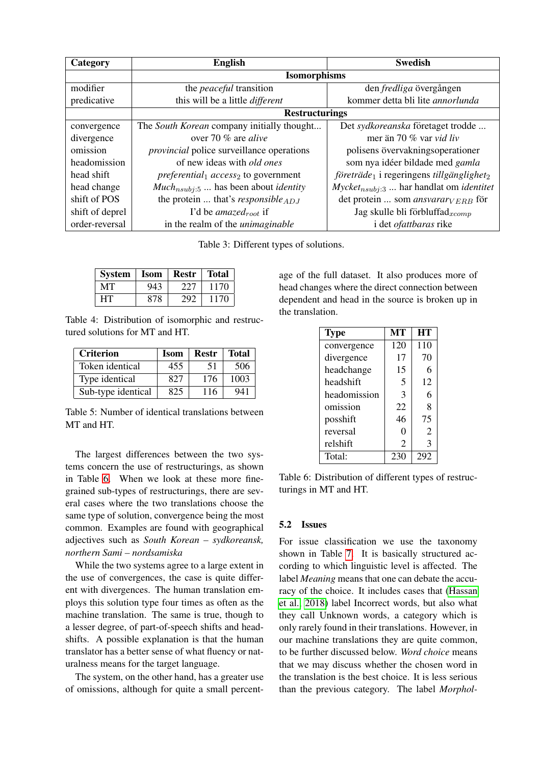| Category        | <b>English</b>                                   | <b>Swedish</b>                                                   |  |
|-----------------|--------------------------------------------------|------------------------------------------------------------------|--|
|                 | <b>Isomorphisms</b>                              |                                                                  |  |
| modifier        | the <i>peaceful</i> transition                   | den <i>fredliga</i> övergången                                   |  |
| predicative     | this will be a little <i>different</i>           | kommer detta bli lite annorlunda                                 |  |
|                 | <b>Restructurings</b>                            |                                                                  |  |
| convergence     | The South Korean company initially thought       | Det sydkoreanska företaget trodde                                |  |
| divergence      | over 70 % are <i>alive</i>                       | mer än 70 % var <i>vid liv</i>                                   |  |
| omission        | <i>provincial</i> police surveillance operations | polisens övervakningsoperationer                                 |  |
| headomission    | of new ideas with <i>old ones</i>                | som nya idéer bildade med gamla                                  |  |
| head shift      | <i>preferential</i> $access_2$ to government     | företräde <sub>1</sub> i regeringens tillgänglighet <sub>2</sub> |  |
| head change     | $Much_{nsubj:5}$ has been about <i>identity</i>  | $Mycketnsub1:3 $ har handlat om <i>identitet</i>                 |  |
| shift of POS    | the protein  that's responsible $_{AD,I}$        | det protein  som ansvarar $V_{ERB}$ för                          |  |
| shift of deprel | I'd be amazed <sub>root</sub> if                 | Jag skulle bli förbluffad $_{xcomp}$                             |  |
| order-reversal  | in the realm of the <i>unimaginable</i>          | i det <i>ofattbaras</i> rike                                     |  |

<span id="page-5-0"></span>Table 3: Different types of solutions.

| <b>System</b> | <b>Isom</b> | Restr | <b>Total</b> |
|---------------|-------------|-------|--------------|
| MТ            | 943         | 227   | 1170         |
| HТ            | 878         | 292   | 1170         |

<span id="page-5-1"></span>Table 4: Distribution of isomorphic and restructured solutions for MT and HT.

| <b>Criterion</b>   | <b>Isom</b> | Restr | <b>Total</b> |
|--------------------|-------------|-------|--------------|
| Token identical    | 455         | 51    | 506          |
| Type identical     | 827         | 176   | 1003         |
| Sub-type identical | 825         | 116   | 941          |

<span id="page-5-2"></span>Table 5: Number of identical translations between MT and HT.

The largest differences between the two systems concern the use of restructurings, as shown in Table [6.](#page-5-3) When we look at these more finegrained sub-types of restructurings, there are several cases where the two translations choose the same type of solution, convergence being the most common. Examples are found with geographical adjectives such as *South Korean – sydkoreansk, northern Sami – nordsamiska*

While the two systems agree to a large extent in the use of convergences, the case is quite different with divergences. The human translation employs this solution type four times as often as the machine translation. The same is true, though to a lesser degree, of part-of-speech shifts and headshifts. A possible explanation is that the human translator has a better sense of what fluency or naturalness means for the target language.

The system, on the other hand, has a greater use of omissions, although for quite a small percentage of the full dataset. It also produces more of head changes where the direct connection between dependent and head in the source is broken up in the translation.

| <b>Type</b>  | MТ  | HT             |
|--------------|-----|----------------|
| convergence  | 120 | 110            |
| divergence   | 17  | 70             |
| headchange   | 15  | 6              |
| headshift    | 5   | 12             |
| headomission | 3   | 6              |
| omission     | 22  | 8              |
| posshift     | 46  | 75             |
| reversal     | 0   | $\overline{2}$ |
| relshift     | 2   | 3              |
| Total:       | 230 | 292            |

<span id="page-5-3"></span>Table 6: Distribution of different types of restructurings in MT and HT.

### 5.2 Issues

For issue classification we use the taxonomy shown in Table [7.](#page-6-0) It is basically structured according to which linguistic level is affected. The label *Meaning* means that one can debate the accuracy of the choice. It includes cases that [\(Hassan](#page-8-0) [et al., 2018\)](#page-8-0) label Incorrect words, but also what they call Unknown words, a category which is only rarely found in their translations. However, in our machine translations they are quite common, to be further discussed below. *Word choice* means that we may discuss whether the chosen word in the translation is the best choice. It is less serious than the previous category. The label *Morphol-*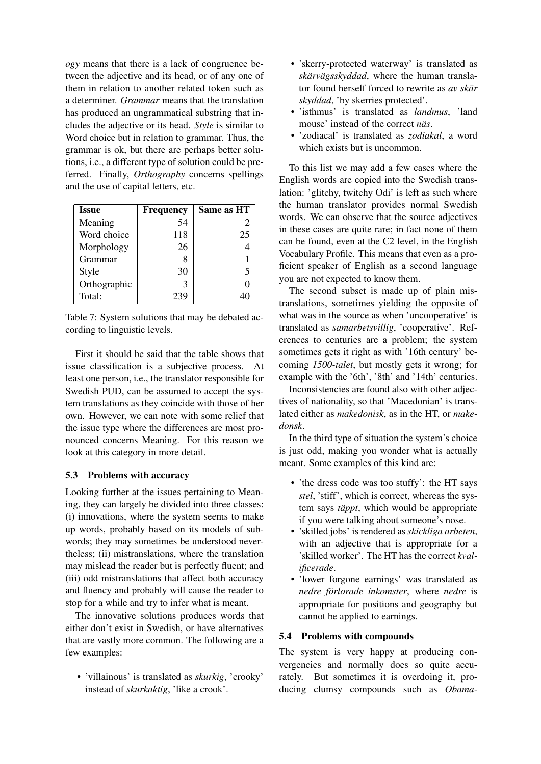*ogy* means that there is a lack of congruence between the adjective and its head, or of any one of them in relation to another related token such as a determiner. *Grammar* means that the translation has produced an ungrammatical substring that includes the adjective or its head. *Style* is similar to Word choice but in relation to grammar. Thus, the grammar is ok, but there are perhaps better solutions, i.e., a different type of solution could be preferred. Finally, *Orthography* concerns spellings and the use of capital letters, etc.

| Issue        | <b>Frequency</b> | Same as HT |
|--------------|------------------|------------|
| Meaning      | 54               | 2          |
| Word choice  | 118              | 25         |
| Morphology   | 26               |            |
| Grammar      |                  |            |
| Style        | 30               | 5          |
| Orthographic |                  |            |
| Total:       | 239              |            |

<span id="page-6-0"></span>Table 7: System solutions that may be debated according to linguistic levels.

First it should be said that the table shows that issue classification is a subjective process. At least one person, i.e., the translator responsible for Swedish PUD, can be assumed to accept the system translations as they coincide with those of her own. However, we can note with some relief that the issue type where the differences are most pronounced concerns Meaning. For this reason we look at this category in more detail.

### 5.3 Problems with accuracy

Looking further at the issues pertaining to Meaning, they can largely be divided into three classes: (i) innovations, where the system seems to make up words, probably based on its models of subwords; they may sometimes be understood nevertheless; (ii) mistranslations, where the translation may mislead the reader but is perfectly fluent; and (iii) odd mistranslations that affect both accuracy and fluency and probably will cause the reader to stop for a while and try to infer what is meant.

The innovative solutions produces words that either don't exist in Swedish, or have alternatives that are vastly more common. The following are a few examples:

• 'villainous' is translated as *skurkig*, 'crooky' instead of *skurkaktig*, 'like a crook'.

- 'skerry-protected waterway' is translated as *skärvägsskyddad*, where the human translator found herself forced to rewrite as *av skär skyddad*, 'by skerries protected'.
- 'isthmus' is translated as *landmus*, 'land mouse' instead of the correct *näs*.
- 'zodiacal' is translated as *zodiakal*, a word which exists but is uncommon.

To this list we may add a few cases where the English words are copied into the Swedish translation: 'glitchy, twitchy Odi' is left as such where the human translator provides normal Swedish words. We can observe that the source adjectives in these cases are quite rare; in fact none of them can be found, even at the C2 level, in the English Vocabulary Profile. This means that even as a proficient speaker of English as a second language you are not expected to know them.

The second subset is made up of plain mistranslations, sometimes yielding the opposite of what was in the source as when 'uncooperative' is translated as *samarbetsvillig*, 'cooperative'. References to centuries are a problem; the system sometimes gets it right as with '16th century' becoming *1500-talet*, but mostly gets it wrong; for example with the '6th', '8th' and '14th' centuries.

Inconsistencies are found also with other adjectives of nationality, so that 'Macedonian' is translated either as *makedonisk*, as in the HT, or *makedonsk*.

In the third type of situation the system's choice is just odd, making you wonder what is actually meant. Some examples of this kind are:

- 'the dress code was too stuffy': the HT says *stel*, 'stiff', which is correct, whereas the system says *täppt*, which would be appropriate if you were talking about someone's nose.
- 'skilled jobs' is rendered as *skickliga arbeten*, with an adjective that is appropriate for a 'skilled worker'. The HT has the correct *kvalificerade*.
- 'lower forgone earnings' was translated as *nedre förlorade inkomster*, where *nedre* is appropriate for positions and geography but cannot be applied to earnings.

### 5.4 Problems with compounds

The system is very happy at producing convergencies and normally does so quite accurately. But sometimes it is overdoing it, producing clumsy compounds such as *Obama-*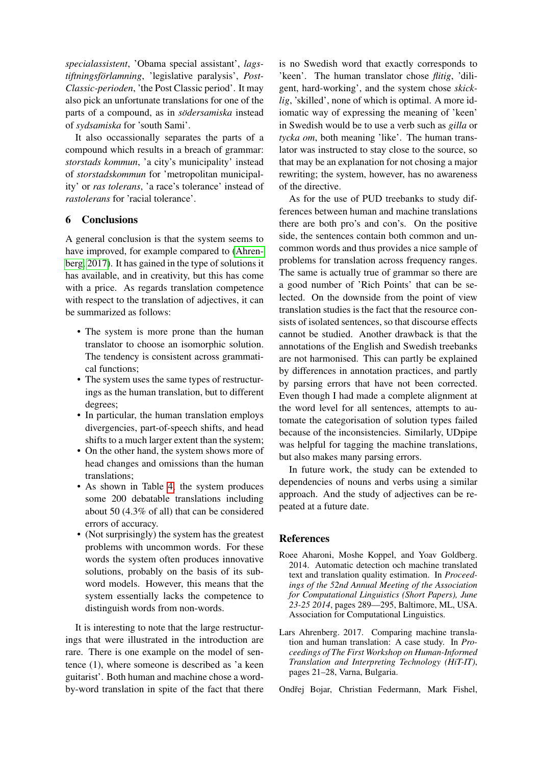*specialassistent*, 'Obama special assistant', *lagstiftningsforlamning ¨* , 'legislative paralysis', *Post-Classic-perioden*, 'the Post Classic period'. It may also pick an unfortunate translations for one of the parts of a compound, as in *södersamiska* instead of *sydsamiska* for 'south Sami'.

It also occassionally separates the parts of a compound which results in a breach of grammar: *storstads kommun*, 'a city's municipality' instead of *storstadskommun* for 'metropolitan municipality' or *ras tolerans*, 'a race's tolerance' instead of *rastolerans* for 'racial tolerance'.

### 6 Conclusions

A general conclusion is that the system seems to have improved, for example compared to [\(Ahren](#page-7-1)[berg, 2017\)](#page-7-1). It has gained in the type of solutions it has available, and in creativity, but this has come with a price. As regards translation competence with respect to the translation of adjectives, it can be summarized as follows:

- The system is more prone than the human translator to choose an isomorphic solution. The tendency is consistent across grammatical functions;
- The system uses the same types of restructurings as the human translation, but to different degrees;
- In particular, the human translation employs divergencies, part-of-speech shifts, and head shifts to a much larger extent than the system;
- On the other hand, the system shows more of head changes and omissions than the human translations;
- As shown in Table [4,](#page-5-1) the system produces some 200 debatable translations including about 50 (4.3% of all) that can be considered errors of accuracy.
- (Not surprisingly) the system has the greatest problems with uncommon words. For these words the system often produces innovative solutions, probably on the basis of its subword models. However, this means that the system essentially lacks the competence to distinguish words from non-words.

It is interesting to note that the large restructurings that were illustrated in the introduction are rare. There is one example on the model of sentence (1), where someone is described as 'a keen guitarist'. Both human and machine chose a wordby-word translation in spite of the fact that there

is no Swedish word that exactly corresponds to 'keen'. The human translator chose *flitig*, 'diligent, hard-working', and the system chose *skicklig*, 'skilled', none of which is optimal. A more idiomatic way of expressing the meaning of 'keen' in Swedish would be to use a verb such as *gilla* or *tycka om*, both meaning 'like'. The human translator was instructed to stay close to the source, so that may be an explanation for not chosing a major rewriting; the system, however, has no awareness of the directive.

As for the use of PUD treebanks to study differences between human and machine translations there are both pro's and con's. On the positive side, the sentences contain both common and uncommon words and thus provides a nice sample of problems for translation across frequency ranges. The same is actually true of grammar so there are a good number of 'Rich Points' that can be selected. On the downside from the point of view translation studies is the fact that the resource consists of isolated sentences, so that discourse effects cannot be studied. Another drawback is that the annotations of the English and Swedish treebanks are not harmonised. This can partly be explained by differences in annotation practices, and partly by parsing errors that have not been corrected. Even though I had made a complete alignment at the word level for all sentences, attempts to automate the categorisation of solution types failed because of the inconsistencies. Similarly, UDpipe was helpful for tagging the machine translations, but also makes many parsing errors.

In future work, the study can be extended to dependencies of nouns and verbs using a similar approach. And the study of adjectives can be repeated at a future date.

### References

- <span id="page-7-2"></span>Roee Aharoni, Moshe Koppel, and Yoav Goldberg. 2014. Automatic detection och machine translated text and translation quality estimation. In *Proceedings of the 52nd Annual Meeting of the Association for Computational Linguistics (Short Papers), June 23-25 2014*, pages 289––295, Baltimore, ML, USA. Association for Computational Linguistics.
- <span id="page-7-1"></span>Lars Ahrenberg. 2017. Comparing machine translation and human translation: A case study. In *Proceedings of The First Workshop on Human-Informed Translation and Interpreting Technology (HiT-IT)*, pages 21–28, Varna, Bulgaria.

<span id="page-7-0"></span>Ondřej Bojar, Christian Federmann, Mark Fishel,